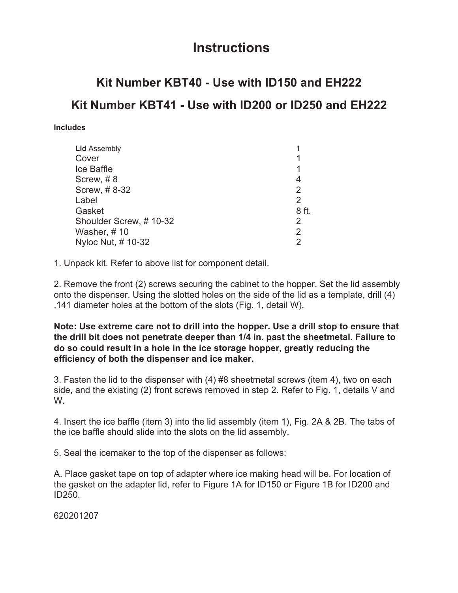## **Instructions**

## **Kit Number KBT40 - Use with ID150 and EH222 Kit Number KBT41 - Use with ID200 or ID250 and EH222**

## **Includes**

| <b>Lid Assembly</b>    |       |
|------------------------|-------|
| Cover                  |       |
|                        |       |
| Ice Baffle             |       |
| Screw, #8              | 4     |
| Screw, #8-32           | 2     |
| Label                  | 2     |
| Gasket                 | 8 ft. |
| Shoulder Screw, #10-32 | 2     |
| Washer, # 10           | 2     |
| Nyloc Nut, # 10-32     |       |
|                        |       |

1. Unpack kit. Refer to above list for component detail.

2. Remove the front (2) screws securing the cabinet to the hopper. Set the lid assembly onto the dispenser. Using the slotted holes on the side of the lid as a template, drill (4) .141 diameter holes at the bottom of the slots (Fig. 1, detail W).

**Note: Use extreme care not to drill into the hopper. Use a drill stop to ensure that the drill bit does not penetrate deeper than 1/4 in. past the sheetmetal. Failure to do so could result in a hole in the ice storage hopper, greatly reducing the efficiency of both the dispenser and ice maker.**

3. Fasten the lid to the dispenser with (4) #8 sheetmetal screws (item 4), two on each side, and the existing (2) front screws removed in step 2. Refer to Fig. 1, details V and W.

4. Insert the ice baffle (item 3) into the lid assembly (item 1), Fig. 2A & 2B. The tabs of the ice baffle should slide into the slots on the lid assembly.

5. Seal the icemaker to the top of the dispenser as follows:

A. Place gasket tape on top of adapter where ice making head will be. For location of the gasket on the adapter lid, refer to Figure 1A for ID150 or Figure 1B for ID200 and ID250.

620201207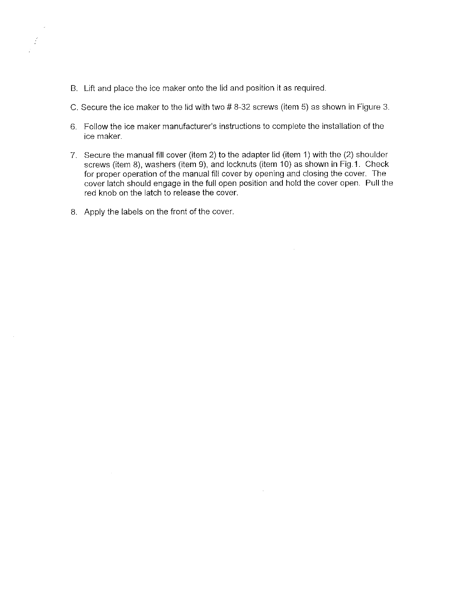- B. Lift and place the ice maker onto the lid and position it as required.
- C. Secure the ice maker to the lid with two #8-32 screws (item 5) as shown in Figure 3.
- 6. Follow the ice maker manufacturer's instructions to complete the installation of the ice maker.
- 7. Secure the manual fill cover (item 2) to the adapter lid (item 1) with the (2) shoulder screws (item 8), washers (item 9), and locknuts (item 10) as shown in Fig.1. Check for proper operation of the manual fill cover by opening and closing the cover. The cover latch should engage in the full open position and hold the cover open. Pull the red knob on the latch to release the cover.
- 8. Apply the labels on the front of the cover.

i.

 $\frac{1}{2}$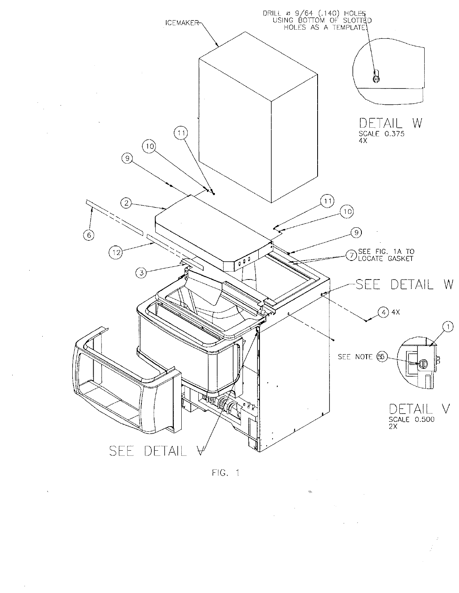

 $FIG. 1$ 

 $\Delta \sim 1$ 

 $\frac{1}{2}$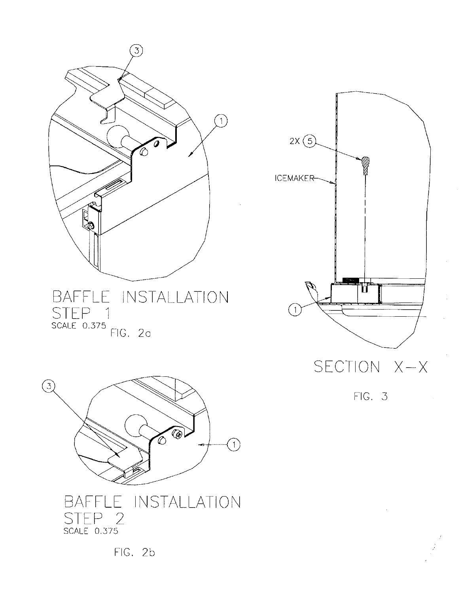





 $FIG. 3$ 

FIG. 2b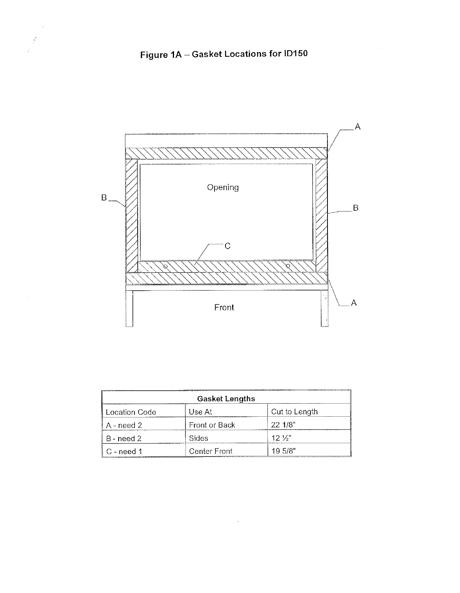

 $\frac{1}{2}$ 



| <b>Gasket Lengths</b> |                                 |                                                                                           |  |
|-----------------------|---------------------------------|-------------------------------------------------------------------------------------------|--|
| <b>Location Code</b>  | Use At                          | Cut to Length                                                                             |  |
| A - need 2            | Front or Back                   | 221/8"                                                                                    |  |
| B - need 2            | Sides                           | $12\frac{1}{2}$                                                                           |  |
| ∥ C - need 1          | Center Front<br>_______________ | 19.5/8"<br>www.community.com/community/community/community/community/community/community/ |  |

 $\overline{\phantom{a}}$